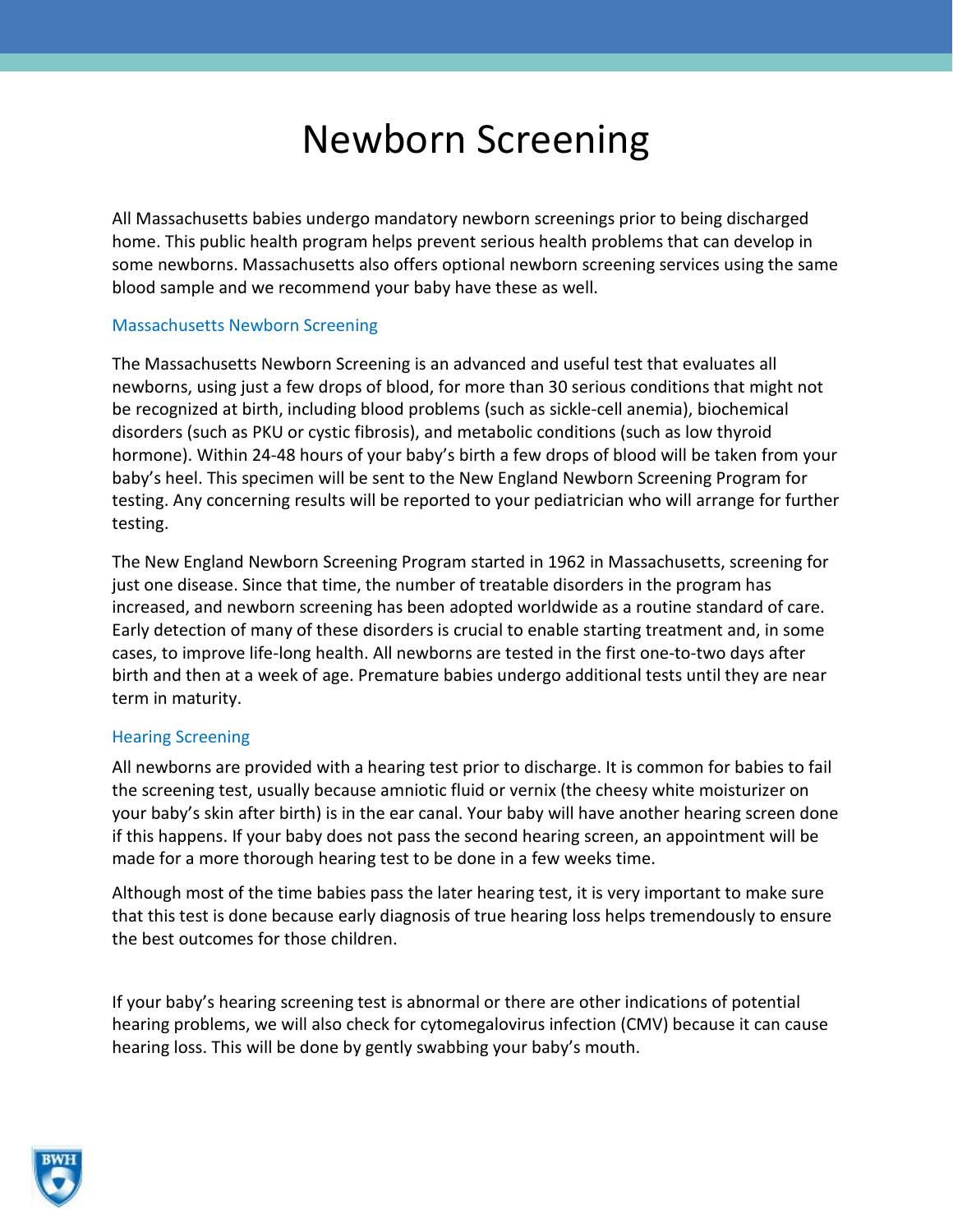# Newborn Screening

All Massachusetts babies undergo mandatory newborn screenings prior to being discharged home. This public health program helps prevent serious health problems that can develop in some newborns. Massachusetts also offers optional newborn screening services using the same blood sample and we recommend your baby have these as well.

# Massachusetts Newborn Screening

The Massachusetts Newborn Screening is an advanced and useful test that evaluates all newborns, using just a few drops of blood, for more than 30 serious conditions that might not be recognized at birth, including blood problems (such as sickle-cell anemia), biochemical disorders (such as PKU or cystic fibrosis), and metabolic conditions (such as low thyroid hormone). Within 24-48 hours of your baby's birth a few drops of blood will be taken from your baby's heel. This specimen will be sent to the New England Newborn Screening Program for testing. Any concerning results will be reported to your pediatrician who will arrange for further testing.

The New England Newborn Screening Program started in 1962 in Massachusetts, screening for just one disease. Since that time, the number of treatable disorders in the program has increased, and newborn screening has been adopted worldwide as a routine standard of care. Early detection of many of these disorders is crucial to enable starting treatment and, in some cases, to improve life-long health. All newborns are tested in the first one-to-two days after birth and then at a week of age. Premature babies undergo additional tests until they are near term in maturity.

# Hearing Screening

All newborns are provided with a hearing test prior to discharge. It is common for babies to fail the screening test, usually because amniotic fluid or vernix (the cheesy white moisturizer on your baby's skin after birth) is in the ear canal. Your baby will have another hearing screen done if this happens. If your baby does not pass the second hearing screen, an appointment will be made for a more thorough hearing test to be done in a few weeks time.

Although most of the time babies pass the later hearing test, it is very important to make sure that this test is done because early diagnosis of true hearing loss helps tremendously to ensure the best outcomes for those children.

If your baby's hearing screening test is abnormal or there are other indications of potential hearing problems, we will also check for cytomegalovirus infection (CMV) because it can cause hearing loss. This will be done by gently swabbing your baby's mouth.